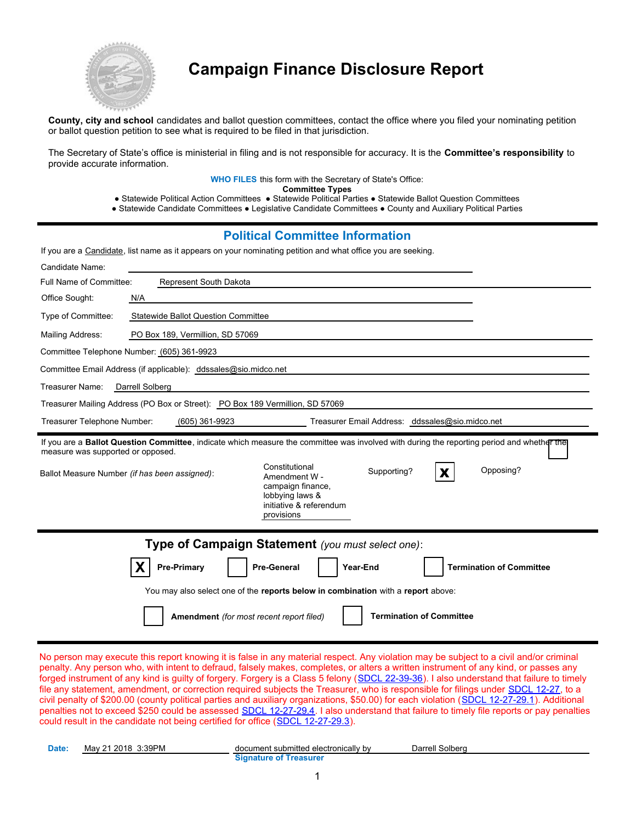

## **Campaign Finance Disclosure Report**

**County, city and school** candidates and ballot question committees, contact the office where you filed your nominating petition or ballot question petition to see what is required to be filed in that jurisdiction.

The Secretary of State's office is ministerial in filing and is not responsible for accuracy. It is the **Committee's responsibility** to provide accurate information.

**WHO FILES** this form with the Secretary of State's Office:

**Committee Types**

● Statewide Political Action Committees ● Statewide Political Parties ● Statewide Ballot Question Committees

● Statewide Candidate Committees ● Legislative Candidate Committees ● County and Auxiliary Political Parties

#### **Political Committee Information**

If you are a Candidate, list name as it appears on your nominating petition and what office you are seeking.

| Candidate Name:                                                                                                                              |                                                                                                                                                                                                    |                                                                                                                                            |  |  |
|----------------------------------------------------------------------------------------------------------------------------------------------|----------------------------------------------------------------------------------------------------------------------------------------------------------------------------------------------------|--------------------------------------------------------------------------------------------------------------------------------------------|--|--|
| Full Name of Committee:                                                                                                                      | Represent South Dakota                                                                                                                                                                             |                                                                                                                                            |  |  |
| Office Sought:                                                                                                                               | N/A                                                                                                                                                                                                |                                                                                                                                            |  |  |
| Type of Committee:                                                                                                                           | <b>Statewide Ballot Question Committee</b>                                                                                                                                                         |                                                                                                                                            |  |  |
| Mailing Address:                                                                                                                             | PO Box 189, Vermillion, SD 57069                                                                                                                                                                   |                                                                                                                                            |  |  |
|                                                                                                                                              | Committee Telephone Number: (605) 361-9923                                                                                                                                                         |                                                                                                                                            |  |  |
|                                                                                                                                              | Committee Email Address (if applicable): ddssales@sio.midco.net                                                                                                                                    |                                                                                                                                            |  |  |
| Treasurer Name:                                                                                                                              | Darrell Solberg                                                                                                                                                                                    |                                                                                                                                            |  |  |
|                                                                                                                                              |                                                                                                                                                                                                    | Treasurer Mailing Address (PO Box or Street): PO Box 189 Vermillion, SD 57069                                                              |  |  |
| Treasurer Telephone Number:                                                                                                                  | (605) 361-9923                                                                                                                                                                                     | Treasurer Email Address: ddssales@sio.midco.net                                                                                            |  |  |
| measure was supported or opposed.                                                                                                            |                                                                                                                                                                                                    | If you are a Ballot Question Committee, indicate which measure the committee was involved with during the reporting period and whether the |  |  |
|                                                                                                                                              | Constitutional<br>Opposing?<br>Supporting?<br>X<br>Ballot Measure Number (if has been assigned):<br>Amendment W -<br>campaign finance,<br>lobbying laws &<br>initiative & referendum<br>provisions |                                                                                                                                            |  |  |
| Type of Campaign Statement (you must select one):<br><b>Pre-Primary</b><br><b>Pre-General</b><br>Year-End<br><b>Termination of Committee</b> |                                                                                                                                                                                                    |                                                                                                                                            |  |  |
| You may also select one of the reports below in combination with a report above:                                                             |                                                                                                                                                                                                    |                                                                                                                                            |  |  |
|                                                                                                                                              |                                                                                                                                                                                                    | <b>Termination of Committee</b><br>Amendment (for most recent report filed)                                                                |  |  |

No person may execute this report knowing it is false in any material respect. Any violation may be subject to a civil and/or criminal penalty. Any person who, with intent to defraud, falsely makes, completes, or alters a written instrument of any kind, or passes any forged instrument of any kind is guilty of forgery. Forgery is a Class 5 felony (SDCL 22-39-36). I also understand that failure to timely file any statement, amendment, or correction required subjects the Treasurer, who is responsible for filings under SDCL 12-27, to a civil penalty of \$200.00 (county political parties and auxiliary organizations, \$50.00) for each violation (SDCL 12-27-29.1). Additional penalties not to exceed \$250 could be assessed SDCL 12-27-29.4. I also understand that failure to timely file reports or pay penalties could result in the candidate not being certified for office (SDCL 12-27-29.3).

| Date: | 3:39PM<br>May 21 2018 | document submitted electronically by | Darrell Solberg |
|-------|-----------------------|--------------------------------------|-----------------|
|       |                       | Signature of Treasurer               |                 |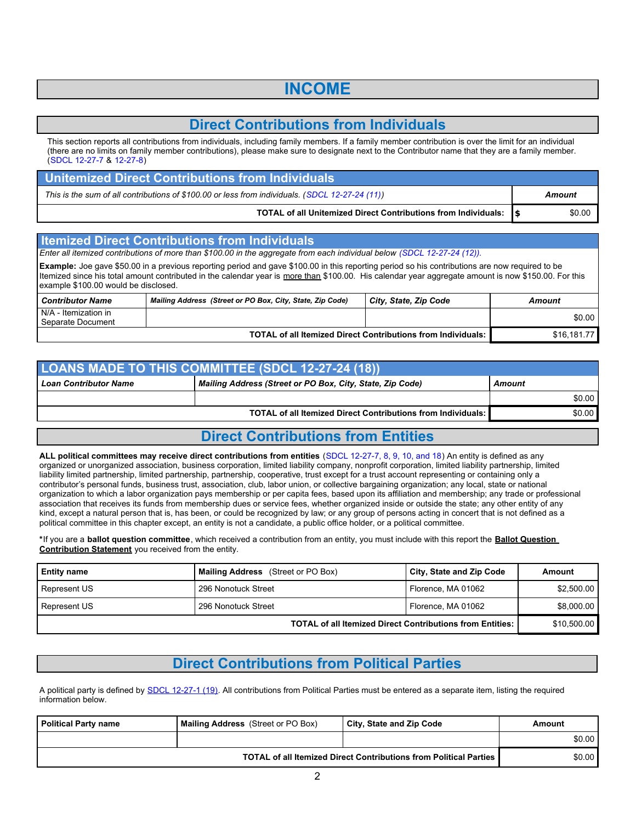## **INCOME**

### **Direct Contributions from Individuals**

This section reports all contributions from individuals, including family members. If a family member contribution is over the limit for an individual (there are no limits on family member contributions), please make sure to designate next to the Contributor name that they are a family member. (SDCL 12-27-7 & 12-27-8)

| Unitemized Direct Contributions from Individuals                                                |        |
|-------------------------------------------------------------------------------------------------|--------|
| This is the sum of all contributions of \$100.00 or less from individuals. (SDCL 12-27-24 (11)) | Amount |
| TOTAL of all Unitemized Direct Contributions from Individuals: 1 \$                             | \$0.00 |

#### **Itemized Direct Contributions from Individuals**

*Enter all itemized contributions of more than \$100.00 in the aggregate from each individual below (SDCL 12-27-24 (12)).*

**Example:** Joe gave \$50.00 in a previous reporting period and gave \$100.00 in this reporting period so his contributions are now required to be Itemized since his total amount contributed in the calendar year is more than \$100.00. His calendar year aggregate amount is now \$150.00. For this example \$100.00 would be disclosed.

| <b>Contributor Name</b>                   | Mailing Address (Street or PO Box, City, State, Zip Code) | City, State, Zip Code                                               | Amount      |
|-------------------------------------------|-----------------------------------------------------------|---------------------------------------------------------------------|-------------|
| N/A - Itemization in<br>Separate Document |                                                           |                                                                     | \$0.00      |
|                                           |                                                           | <b>TOTAL of all Itemized Direct Contributions from Individuals:</b> | \$16.181.77 |

| LOANS MADE TO THIS COMMITTEE (SDCL 12-27-24 (18))                                                   |                                                              |        |  |
|-----------------------------------------------------------------------------------------------------|--------------------------------------------------------------|--------|--|
| Mailing Address (Street or PO Box, City, State, Zip Code)<br><b>Loan Contributor Name</b><br>Amount |                                                              |        |  |
|                                                                                                     |                                                              | \$0.00 |  |
|                                                                                                     | TOTAL of all Itemized Direct Contributions from Individuals: | \$0.00 |  |

#### **Direct Contributions from Entities**

**ALL political committees may receive direct contributions from entities** (SDCL 12-27-7, 8, 9, 10, and 18) An entity is defined as any organized or unorganized association, business corporation, limited liability company, nonprofit corporation, limited liability partnership, limited liability limited partnership, limited partnership, partnership, cooperative, trust except for a trust account representing or containing only a contributor's personal funds, business trust, association, club, labor union, or collective bargaining organization; any local, state or national organization to which a labor organization pays membership or per capita fees, based upon its affiliation and membership; any trade or professional association that receives its funds from membership dues or service fees, whether organized inside or outside the state; any other entity of any kind, except a natural person that is, has been, or could be recognized by law; or any group of persons acting in concert that is not defined as a political committee in this chapter except, an entity is not a candidate, a public office holder, or a political committee.

**\***If you are a **ballot question committee**, which received a contribution from an entity, you must include with this report the **Ballot Question Contribution Statement** you received from the entity.

| <b>Entity name</b> | <b>Mailing Address</b> (Street or PO Box)                        | City, State and Zip Code | Amount      |
|--------------------|------------------------------------------------------------------|--------------------------|-------------|
| Represent US       | 296 Nonotuck Street                                              | Florence, MA 01062       | \$2,500.00  |
| Represent US       | 296 Nonotuck Street                                              | Florence, MA 01062       | \$8,000.00  |
|                    | <b>TOTAL of all Itemized Direct Contributions from Entities:</b> |                          | \$10,500.00 |

## **Direct Contributions from Political Parties**

A political party is defined by SDCL 12-27-1 (19). All contributions from Political Parties must be entered as a separate item, listing the required information below.

| <b>Political Party name</b>                                       | <b>Mailing Address</b> (Street or PO Box) | City, State and Zip Code | Amount |
|-------------------------------------------------------------------|-------------------------------------------|--------------------------|--------|
|                                                                   |                                           |                          | \$0.00 |
| TOTAL of all Itemized Direct Contributions from Political Parties |                                           | \$0.00                   |        |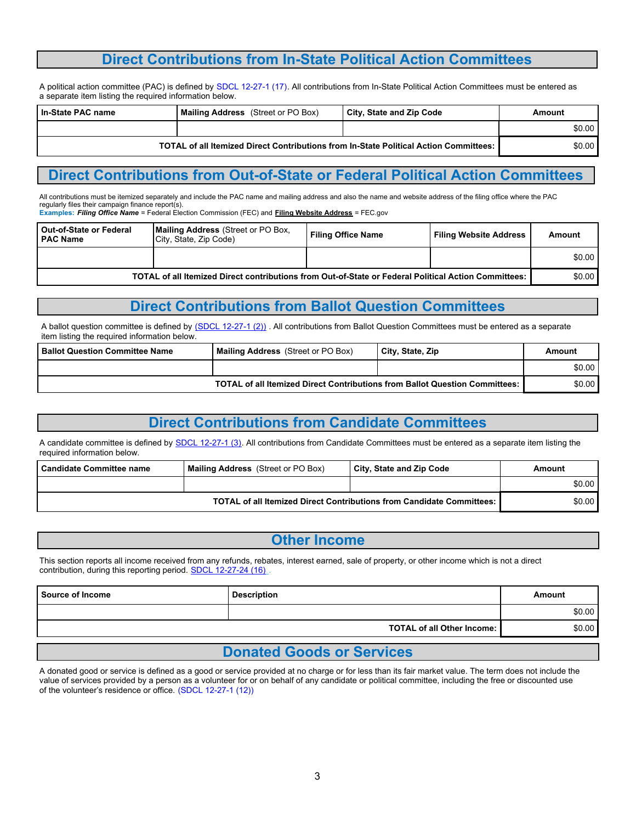#### **Direct Contributions from In-State Political Action Committees**

A political action committee (PAC) is defined by SDCL 12-27-1 (17). All contributions from In-State Political Action Committees must be entered as a separate item listing the required information below.

| l In-State PAC name | <b>Mailing Address</b> (Street or PO Box)                                             | City, State and Zip Code | Amount |
|---------------------|---------------------------------------------------------------------------------------|--------------------------|--------|
|                     |                                                                                       |                          | \$0.00 |
|                     | TOTAL of all Itemized Direct Contributions from In-State Political Action Committees: |                          | \$0.00 |

### **Direct Contributions from Out-of-State or Federal Political Action Committees**

All contributions must be itemized separately and include the PAC name and mailing address and also the name and website address of the filing office where the PAC regularly files their campaign finance report(s).

**Examples:** *Filing Office Name* = Federal Election Commission (FEC) and **Filing Website Address** = FEC.gov

| <b>Out-of-State or Federal</b><br><b>PAC Name</b> | <b>Mailing Address</b> (Street or PO Box,<br>City, State, Zip Code)                                    | <b>Filing Office Name</b> | <b>Filing Website Address</b> | Amount |
|---------------------------------------------------|--------------------------------------------------------------------------------------------------------|---------------------------|-------------------------------|--------|
|                                                   |                                                                                                        |                           |                               | \$0.00 |
|                                                   | TOTAL of all Itemized Direct contributions from Out-of-State or Federal Political Action Committees: I |                           |                               | \$0.00 |

#### **Direct Contributions from Ballot Question Committees**

A ballot question committee is defined by [\(SDCL 12-27-1 \(2\)\)](http://www.sdlegislature.gov/Statutes/Codified_Laws/DisplayStatute.aspx?Type=Statute&Statute=12-27-1). All contributions from Ballot Question Committees must be entered as a separate item listing the required information below.

| l Ballot Question Committee Name | <b>Mailing Address</b> (Street or PO Box)                                   | City, State, Zip | Amount |
|----------------------------------|-----------------------------------------------------------------------------|------------------|--------|
|                                  |                                                                             |                  | \$0.00 |
|                                  | TOTAL of all Itemized Direct Contributions from Ballot Question Committees: |                  | \$0.00 |

## **Direct Contributions from Candidate Committees**

A candidate committee is defined by SDCL 12-27-1 (3). All contributions from Candidate Committees must be entered as a separate item listing the required information below.

| l Candidate Committee name | <b>Mailing Address</b> (Street or PO Box) | <b>City, State and Zip Code</b>                                       | Amount |
|----------------------------|-------------------------------------------|-----------------------------------------------------------------------|--------|
|                            |                                           |                                                                       | \$0.00 |
|                            |                                           | TOTAL of all Itemized Direct Contributions from Candidate Committees: | \$0.00 |

#### **Other Income**

This section reports all income received from any refunds, rebates, interest earned, sale of property, or other income which is not a direct contribution, during this reporting period. SDCL 12-27-24 (16).

| Source of Income | <b>Description</b>                | Amount |
|------------------|-----------------------------------|--------|
|                  |                                   | \$0.00 |
|                  | <b>TOTAL of all Other Income:</b> | \$0.00 |
|                  | ---<br>_<br>. .                   |        |

#### **Donated Goods or Services**

A donated good or service is defined as a good or service provided at no charge or for less than its fair market value. The term does not include the value of services provided by a person as a volunteer for or on behalf of any candidate or political committee, including the free or discounted use of the volunteer's residence or office. (SDCL 12-27-1 (12))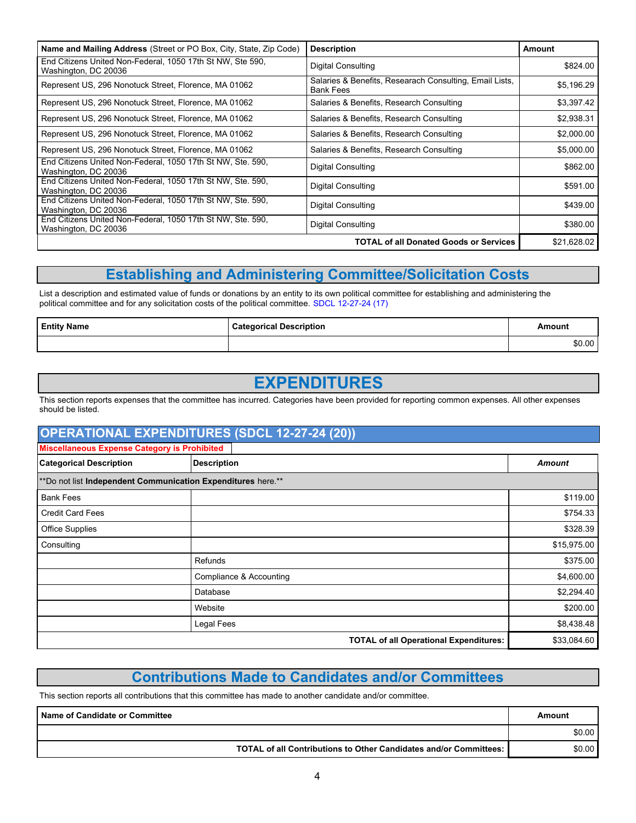| Name and Mailing Address (Street or PO Box, City, State, Zip Code)                  | <b>Description</b>                                                          | Amount      |
|-------------------------------------------------------------------------------------|-----------------------------------------------------------------------------|-------------|
| End Citizens United Non-Federal, 1050 17th St NW, Ste 590,<br>Washington, DC 20036  | <b>Digital Consulting</b>                                                   | \$824.00    |
| Represent US, 296 Nonotuck Street, Florence, MA 01062                               | Salaries & Benefits, Researach Consulting, Email Lists,<br><b>Bank Fees</b> | \$5,196.29  |
| Represent US, 296 Nonotuck Street, Florence, MA 01062                               | Salaries & Benefits, Research Consulting                                    | \$3,397.42  |
| Represent US, 296 Nonotuck Street, Florence, MA 01062                               | Salaries & Benefits, Research Consulting                                    | \$2,938.31  |
| Represent US, 296 Nonotuck Street, Florence, MA 01062                               | Salaries & Benefits, Research Consulting                                    | \$2,000.00  |
| Represent US, 296 Nonotuck Street, Florence, MA 01062                               | Salaries & Benefits, Research Consulting                                    | \$5,000.00  |
| End Citizens United Non-Federal, 1050 17th St NW, Ste. 590,<br>Washington, DC 20036 | <b>Digital Consulting</b>                                                   | \$862.00    |
| End Citizens United Non-Federal, 1050 17th St NW, Ste. 590,<br>Washington, DC 20036 | <b>Digital Consulting</b>                                                   | \$591.00    |
| End Citizens United Non-Federal, 1050 17th St NW, Ste. 590,<br>Washington, DC 20036 | Digital Consulting                                                          | \$439.00    |
| End Citizens United Non-Federal, 1050 17th St NW, Ste. 590,<br>Washington, DC 20036 | Digital Consulting                                                          | \$380.00    |
|                                                                                     | <b>TOTAL of all Donated Goods or Services</b>                               | \$21,628.02 |

### **Establishing and Administering Committee/Solicitation Costs**

List a description and estimated value of funds or donations by an entity to its own political committee for establishing and administering the political committee and for any solicitation costs of the political committee. SDCL 12-27-24 (17)

| <b>Entity Name</b> | <b>Categorical Description</b> | Amount |
|--------------------|--------------------------------|--------|
|                    |                                | \$0.00 |

## **EXPENDITURES**

This section reports expenses that the committee has incurred. Categories have been provided for reporting common expenses. All other expenses should be listed.

| <b>OPERATIONAL EXPENDITURES (SDCL 12-27-24 (20))</b>         |                                               |             |  |
|--------------------------------------------------------------|-----------------------------------------------|-------------|--|
| <b>Miscellaneous Expense Category is Prohibited</b>          |                                               |             |  |
| <b>Categorical Description</b>                               | <b>Description</b>                            | Amount      |  |
| **Do not list Independent Communication Expenditures here.** |                                               |             |  |
| <b>Bank Fees</b>                                             |                                               | \$119.00    |  |
| <b>Credit Card Fees</b>                                      |                                               | \$754.33    |  |
| <b>Office Supplies</b>                                       |                                               | \$328.39    |  |
| Consulting                                                   |                                               | \$15,975.00 |  |
|                                                              | Refunds                                       | \$375.00    |  |
|                                                              | Compliance & Accounting                       | \$4,600.00  |  |
|                                                              | Database                                      | \$2,294.40  |  |
|                                                              | Website                                       | \$200.00    |  |
|                                                              | Legal Fees                                    | \$8,438.48  |  |
|                                                              | <b>TOTAL of all Operational Expenditures:</b> | \$33,084.60 |  |

### **Contributions Made to Candidates and/or Committees**

This section reports all contributions that this committee has made to another candidate and/or committee.

| Name of Candidate or Committee                                      | Amount |
|---------------------------------------------------------------------|--------|
|                                                                     | \$0.00 |
| TOTAL of all Contributions to Other Candidates and/or Committees: 1 | \$0.00 |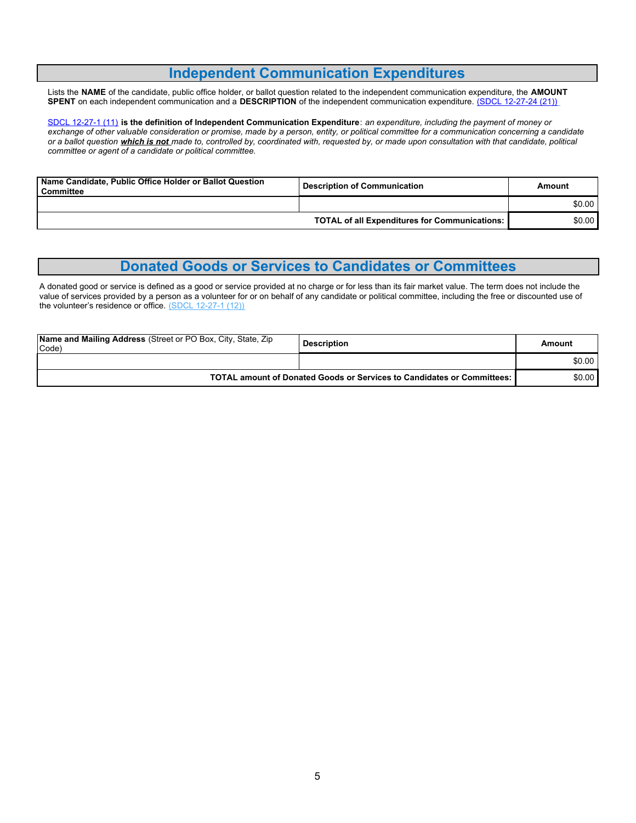## **Independent Communication Expenditures**

Lists the **NAME** of the candidate, public office holder, or ballot question related to the independent communication expenditure, the **AMOUNT SPENT** on each independent communication and a **DESCRIPTION** of the independent communication expenditure. (SDCL 12-27-24 (21))

SDCL 12-27-1 (11) **is the definition of Independent Communication Expenditure**: *an expenditure, including the payment of money or exchange of other valuable consideration or promise, made by a person, entity, or political committee for a communication concerning a candidate or a ballot question which is not made to, controlled by, coordinated with, requested by, or made upon consultation with that candidate, political committee or agent of a candidate or political committee.*

| Name Candidate, Public Office Holder or Ballot Question<br>Committee | <b>Description of Communication</b>                  | Amount |
|----------------------------------------------------------------------|------------------------------------------------------|--------|
|                                                                      |                                                      | \$0.00 |
|                                                                      | <b>TOTAL of all Expenditures for Communications:</b> | \$0.00 |

#### **Donated Goods or Services to Candidates or Committees**

A donated good or service is defined as a good or service provided at no charge or for less than its fair market value. The term does not include the value of services provided by a person as a volunteer for or on behalf of any candidate or political committee, including the free or discounted use of the volunteer's residence or office. (SDCL 12-27-1 (12))

| <b>Name and Mailing Address</b> (Street or PO Box, City, State, Zip<br>Code) | <b>Description</b> | Amount |
|------------------------------------------------------------------------------|--------------------|--------|
|                                                                              |                    | \$0.00 |
| TOTAL amount of Donated Goods or Services to Candidates or Committees:       |                    | \$0.00 |